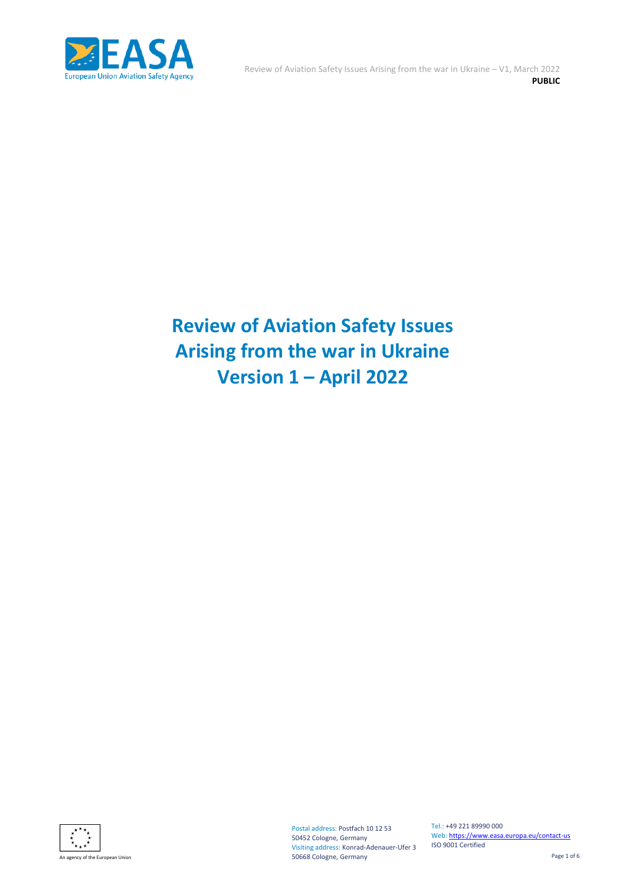

# **Review of Aviation Safety Issues Arising from the war in Ukraine Version 1 – April 2022**

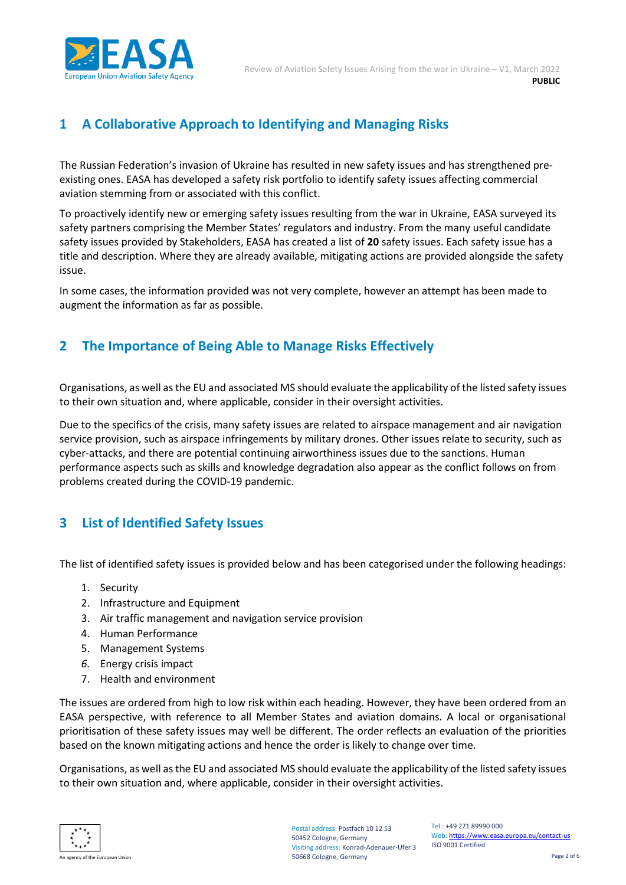

# **1 A Collaborative Approach to Identifying and Managing Risks**

The Russian Federation's invasion of Ukraine has resulted in new safety issues and has strengthened preexisting ones. EASA has developed a safety risk portfolio to identify safety issues affecting commercial aviation stemming from or associated with this conflict.

To proactively identify new or emerging safety issues resulting from the war in Ukraine, EASA surveyed its safety partners comprising the Member States' regulators and industry. From the many useful candidate safety issues provided by Stakeholders, EASA has created a list of **20** safety issues. Each safety issue has a title and description. Where they are already available, mitigating actions are provided alongside the safety issue.

In some cases, the information provided was not very complete, however an attempt has been made to augment the information as far as possible.

## **2 The Importance of Being Able to Manage Risks Effectively**

Organisations, as well as the EU and associated MS should evaluate the applicability of the listed safety issues to their own situation and, where applicable, consider in their oversight activities.

Due to the specifics of the crisis, many safety issues are related to airspace management and air navigation service provision, such as airspace infringements by military drones. Other issues relate to security, such as cyber-attacks, and there are potential continuing airworthiness issues due to the sanctions. Human performance aspects such as skills and knowledge degradation also appear as the conflict follows on from problems created during the COVID-19 pandemic.

#### **3 List of Identified Safety Issues**

The list of identified safety issues is provided below and has been categorised under the following headings:

- 1. Security
- 2. Infrastructure and Equipment
- 3. Air traffic management and navigation service provision
- 4. Human Performance
- 5. Management Systems
- *6.* Energy crisis impact
- 7. Health and environment

The issues are ordered from high to low risk within each heading. However, they have been ordered from an EASA perspective, with reference to all Member States and aviation domains. A local or organisational prioritisation of these safety issues may well be different. The order reflects an evaluation of the priorities based on the known mitigating actions and hence the order is likely to change over time.

Organisations, as well asthe EU and associated MS should evaluate the applicability of the listed safety issues to their own situation and, where applicable, consider in their oversight activities.

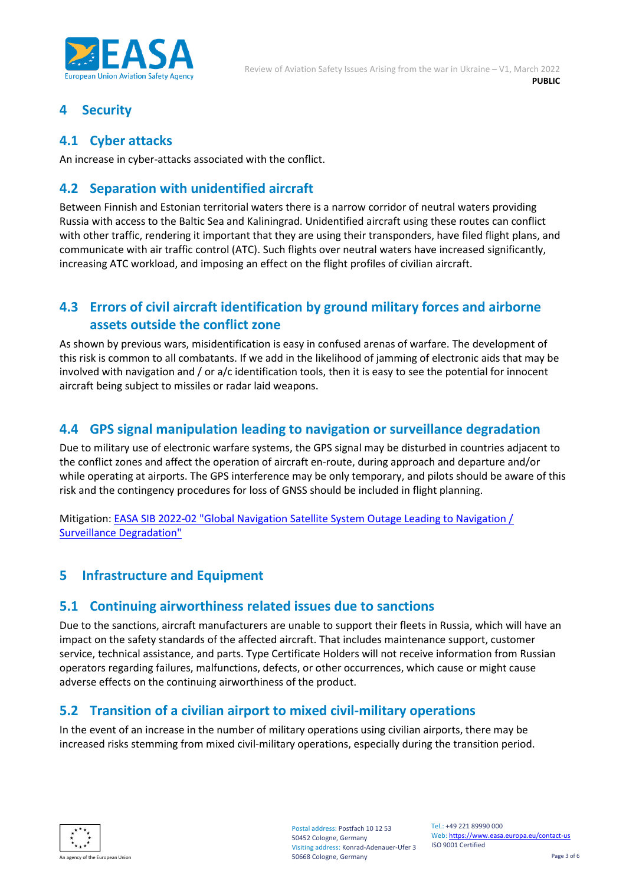

# **4 Security**

## **4.1 Cyber attacks**

An increase in cyber-attacks associated with the conflict.

## **4.2 Separation with unidentified aircraft**

Between Finnish and Estonian territorial waters there is a narrow corridor of neutral waters providing Russia with access to the Baltic Sea and Kaliningrad. Unidentified aircraft using these routes can conflict with other traffic, rendering it important that they are using their transponders, have filed flight plans, and communicate with air traffic control (ATC). Such flights over neutral waters have increased significantly, increasing ATC workload, and imposing an effect on the flight profiles of civilian aircraft.

# **4.3 Errors of civil aircraft identification by ground military forces and airborne assets outside the conflict zone**

As shown by previous wars, misidentification is easy in confused arenas of warfare. The development of this risk is common to all combatants. If we add in the likelihood of jamming of electronic aids that may be involved with navigation and / or a/c identification tools, then it is easy to see the potential for innocent aircraft being subject to missiles or radar laid weapons.

## **4.4 GPS signal manipulation leading to navigation or surveillance degradation**

Due to military use of electronic warfare systems, the GPS signal may be disturbed in countries adjacent to the conflict zones and affect the operation of aircraft en-route, during approach and departure and/or while operating at airports. The GPS interference may be only temporary, and pilots should be aware of this risk and the contingency procedures for loss of GNSS should be included in flight planning.

Mitigation[: EASA SIB 2022-02 "Global Navigation Satellite System Outage Leading to Navigation /](https://ad.easa.europa.eu/ad/2022-02)  [Surveillance Degradation"](https://ad.easa.europa.eu/ad/2022-02)

## **5 Infrastructure and Equipment**

#### **5.1 Continuing airworthiness related issues due to sanctions**

Due to the sanctions, aircraft manufacturers are unable to support their fleets in Russia, which will have an impact on the safety standards of the affected aircraft. That includes maintenance support, customer service, technical assistance, and parts. Type Certificate Holders will not receive information from Russian operators regarding failures, malfunctions, defects, or other occurrences, which cause or might cause adverse effects on the continuing airworthiness of the product.

#### **5.2 Transition of a civilian airport to mixed civil-military operations**

In the event of an increase in the number of military operations using civilian airports, there may be increased risks stemming from mixed civil-military operations, especially during the transition period.



Postal address: Postfach 10 12 53 50452 Cologne, Germany Visiting address: Konrad-Adenauer-Ufer 3 50668 Cologne, Germany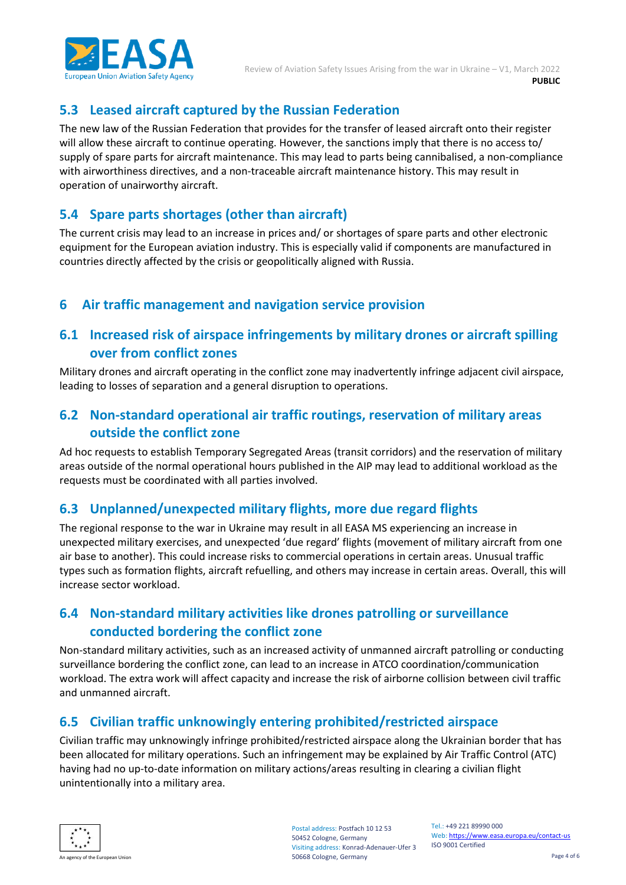

## **5.3 Leased aircraft captured by the Russian Federation**

The new law of the Russian Federation that provides for the transfer of leased aircraft onto their register will allow these aircraft to continue operating. However, the sanctions imply that there is no access to/ supply of spare parts for aircraft maintenance. This may lead to parts being cannibalised, a non-compliance with airworthiness directives, and a non-traceable aircraft maintenance history. This may result in operation of unairworthy aircraft.

# **5.4 Spare parts shortages (other than aircraft)**

The current crisis may lead to an increase in prices and/ or shortages of spare parts and other electronic equipment for the European aviation industry. This is especially valid if components are manufactured in countries directly affected by the crisis or geopolitically aligned with Russia.

## **6 Air traffic management and navigation service provision**

## **6.1 Increased risk of airspace infringements by military drones or aircraft spilling over from conflict zones**

Military drones and aircraft operating in the conflict zone may inadvertently infringe adjacent civil airspace, leading to losses of separation and a general disruption to operations.

#### **6.2 Non-standard operational air traffic routings, reservation of military areas outside the conflict zone**

Ad hoc requests to establish Temporary Segregated Areas (transit corridors) and the reservation of military areas outside of the normal operational hours published in the AIP may lead to additional workload as the requests must be coordinated with all parties involved.

## **6.3 Unplanned/unexpected military flights, more due regard flights**

The regional response to the war in Ukraine may result in all EASA MS experiencing an increase in unexpected military exercises, and unexpected 'due regard' flights (movement of military aircraft from one air base to another). This could increase risks to commercial operations in certain areas. Unusual traffic types such as formation flights, aircraft refuelling, and others may increase in certain areas. Overall, this will increase sector workload.

## **6.4 Non-standard military activities like drones patrolling or surveillance conducted bordering the conflict zone**

Non-standard military activities, such as an increased activity of unmanned aircraft patrolling or conducting surveillance bordering the conflict zone, can lead to an increase in ATCO coordination/communication workload. The extra work will affect capacity and increase the risk of airborne collision between civil traffic and unmanned aircraft.

## **6.5 Civilian traffic unknowingly entering prohibited/restricted airspace**

Civilian traffic may unknowingly infringe prohibited/restricted airspace along the Ukrainian border that has been allocated for military operations. Such an infringement may be explained by Air Traffic Control (ATC) having had no up-to-date information on military actions/areas resulting in clearing a civilian flight unintentionally into a military area.



ISO 9001 Certified Visiting address: Konrad-Adenauer-Ufer 3 Postal address: Postfach 10 12 53 50452 Cologne, Germany 50668 Cologne, Germany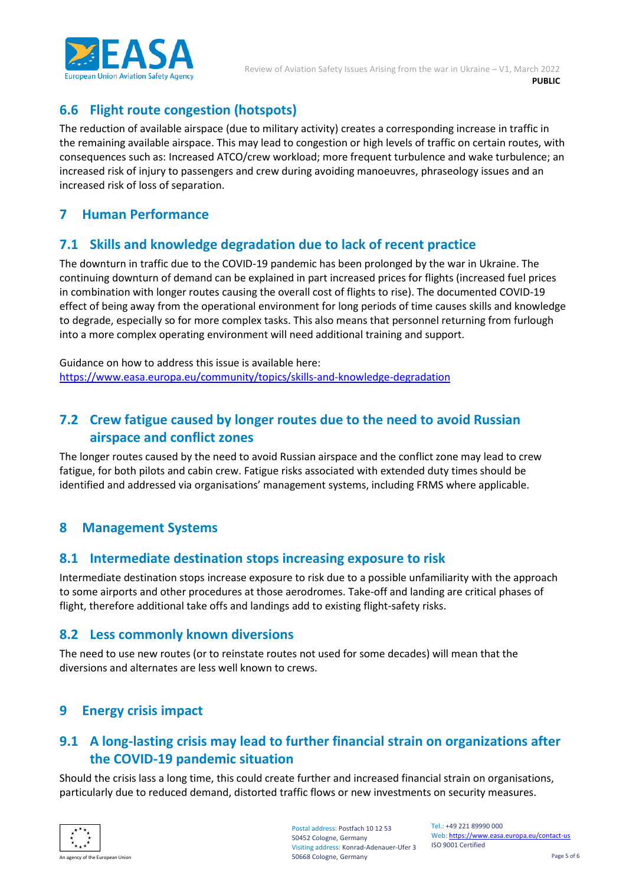

# **6.6 Flight route congestion (hotspots)**

The reduction of available airspace (due to military activity) creates a corresponding increase in traffic in the remaining available airspace. This may lead to congestion or high levels of traffic on certain routes, with consequences such as: Increased ATCO/crew workload; more frequent turbulence and wake turbulence; an increased risk of injury to passengers and crew during avoiding manoeuvres, phraseology issues and an increased risk of loss of separation.

#### **7 Human Performance**

#### **7.1 Skills and knowledge degradation due to lack of recent practice**

The downturn in traffic due to the COVID-19 pandemic has been prolonged by the war in Ukraine. The continuing downturn of demand can be explained in part increased prices for flights (increased fuel prices in combination with longer routes causing the overall cost of flights to rise). The documented COVID-19 effect of being away from the operational environment for long periods of time causes skills and knowledge to degrade, especially so for more complex tasks. This also means that personnel returning from furlough into a more complex operating environment will need additional training and support.

Guidance on how to address this issue is available here: <https://www.easa.europa.eu/community/topics/skills-and-knowledge-degradation>

## **7.2 Crew fatigue caused by longer routes due to the need to avoid Russian airspace and conflict zones**

The longer routes caused by the need to avoid Russian airspace and the conflict zone may lead to crew fatigue, for both pilots and cabin crew. Fatigue risks associated with extended duty times should be identified and addressed via organisations' management systems, including FRMS where applicable.

## **8 Management Systems**

#### **8.1 Intermediate destination stops increasing exposure to risk**

Intermediate destination stops increase exposure to risk due to a possible unfamiliarity with the approach to some airports and other procedures at those aerodromes. Take-off and landing are critical phases of flight, therefore additional take offs and landings add to existing flight-safety risks.

#### **8.2 Less commonly known diversions**

The need to use new routes (or to reinstate routes not used for some decades) will mean that the diversions and alternates are less well known to crews.

## **9 Energy crisis impact**

## **9.1 A long-lasting crisis may lead to further financial strain on organizations after the COVID-19 pandemic situation**

Should the crisis lass a long time, this could create further and increased financial strain on organisations, particularly due to reduced demand, distorted traffic flows or new investments on security measures.